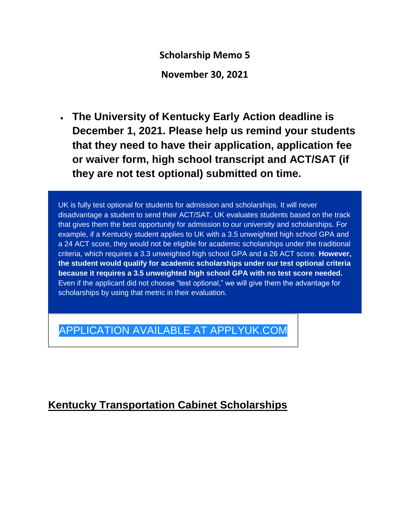**Scholarship Memo 5**

**November 30, 2021**

 **The University of Kentucky Early Action deadline is December 1, 2021. Please help us remind your students that they need to have their application, application fee or waiver form, high school transcript and ACT/SAT (if they are not test optional) submitted on time.**

UK is fully test optional for students for admission and scholarships. It will never disadvantage a student to send their ACT/SAT. UK evaluates students based on the track that gives them the best opportunity for admission to our university and scholarships. For example, if a Kentucky student applies to UK with a 3.5 unweighted high school GPA and a 24 ACT score, they would not be eligible for academic scholarships under the traditional criteria, which requires a 3.3 unweighted high school GPA and a 26 ACT score. **However, the student would qualify for academic scholarships under our test optional criteria because it requires a 3.5 unweighted high school GPA with no test score needed.** Even if the applicant did not choose "test optional," we will give them the advantage for scholarships by using that metric in their evaluation.

# APPLICATION AVAILABLE AT [APPLYUK.COM](https://click.lifecycle.uky.edu/?qs=fe0bd0095d0d43e61ae3a111f7a1c9b4117fe5a5af03b8a869ab52e860db54c497c774e1a47c4d757a72e1e3171092fc017328f45f69ce0c)

# **Kentucky Transportation Cabinet Scholarships**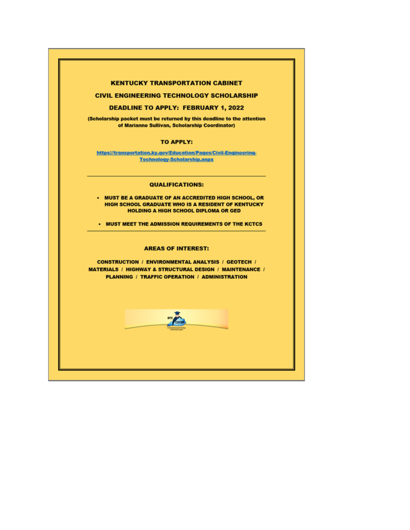#### **KENTUCKY TRANSPORTATION CABINET**

#### **CIVIL ENGINEERING TECHNOLOGY SCHOLARSHIP**

#### **DEADLINE TO APPLY: FEBRUARY 1, 2022**

(Scholarship packet must be returned by this deadline to the attention of Marianne Sullivan, Scholarship Coordinator)

#### **TO APPLY:**

https://transportation.ky.qov/Education/Pages/Civil-Engineering-**Technology-Scholarship.aspx** 

#### **QUALIFICATIONS:**

• MUST BE A GRADUATE OF AN ACCREDITED HIGH SCHOOL, OR **HIGH SCHOOL GRADUATE WHO IS A RESIDENT OF KENTUCKY HOLDING A HIGH SCHOOL DIPLOMA OR GED** 

• MUST MEET THE ADMISSION REQUIREMENTS OF THE KCTCS

#### **AREAS OF INTEREST:**

**CONSTRUCTION / ENVIRONMENTAL ANALYSIS / GEOTECH / MATERIALS / HIGHWAY & STRUCTURAL DESIGN / MAINTENANCE /** PLANNING / TRAFFIC OPERATION / ADMINISTRATION

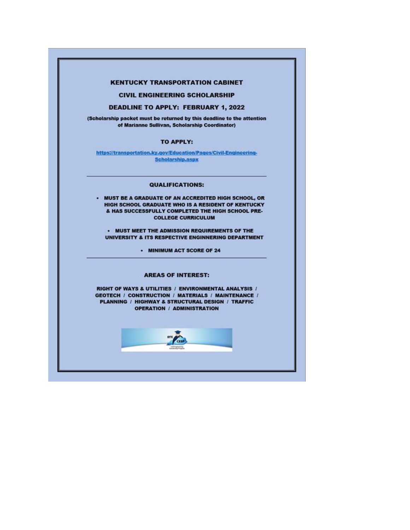#### **KENTUCKY TRANSPORTATION CABINET**

**CIVIL ENGINEERING SCHOLARSHIP** 

#### **DEADLINE TO APPLY: FEBRUARY 1, 2022**

(Scholarship packet must be returned by this deadline to the attention of Marianne Sullivan, Scholarship Coordinator)

#### TO APPLY:

https://transportation.ky.gov/Education/Pages/Civil-Engineering-Scholarship.aspx

#### **QUALIFICATIONS:**

. MUST BE A GRADUATE OF AN ACCREDITED HIGH SCHOOL, OR HIGH SCHOOL GRADUATE WHO IS A RESIDENT OF KENTUCKY & HAS SUCCESSFULLY COMPLETED THE HIGH SCHOOL PRE-**COLLEGE CURRICULUM** 

. MUST MEET THE ADMISSION REQUIREMENTS OF THE UNIVERSITY & ITS RESPECTIVE ENGINNERING DEPARTMENT

· MINIMUM ACT SCORE OF 24

#### **AREAS OF INTEREST:**

RIGHT OF WAYS & UTILITIES / ENVIRONMENTAL ANALYSIS / **GEOTECH / CONSTRUCTION / MATERIALS / MAINTENANCE /** PLANNING / HIGHWAY & STRUCTURAL DESIGN / TRAFFIC **OPERATION / ADMINISTRATION** 

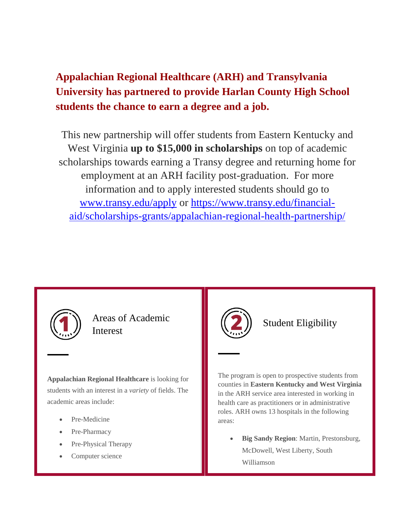# **Appalachian Regional Healthcare (ARH) and Transylvania University has partnered to provide Harlan County High School students the chance to earn a degree and a job.**

This new partnership will offer students from Eastern Kentucky and West Virginia **up to \$15,000 in scholarships** on top of academic scholarships towards earning a Transy degree and returning home for employment at an ARH facility post-graduation. For more information and to apply interested students should go to [www.transy.edu/apply](http://www.transy.edu/apply) or [https://www.transy.edu/financial](https://www.transy.edu/financial-aid/scholarships-grants/appalachian-regional-health-partnership/)[aid/scholarships-grants/appalachian-regional-health-partnership/](https://www.transy.edu/financial-aid/scholarships-grants/appalachian-regional-health-partnership/)



Areas of Academic Interest

**Appalachian Regional Healthcare** is looking for students with an interest in a *variety* of fields. The academic areas include:

- Pre-Medicine
- Pre-Pharmacy
- Pre-Physical Therapy
- Computer science



### Student Eligibility

The program is open to prospective students from counties in **Eastern Kentucky and West Virginia** in the ARH service area interested in working in health care as practitioners or in administrative roles. ARH owns 13 hospitals in the following areas:

 **Big Sandy Region**: Martin, Prestonsburg, McDowell, West Liberty, South Williamson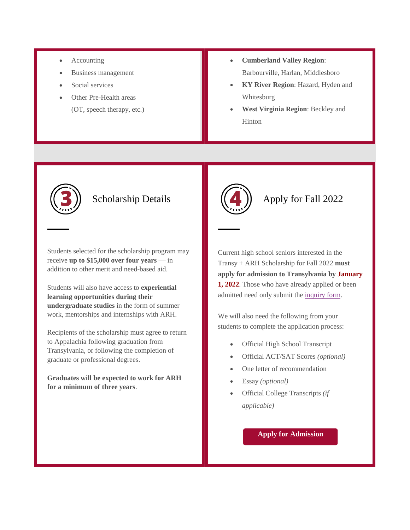- Accounting
- Business management
- Social services
- Other Pre-Health areas (OT, speech therapy, etc.)
- **Cumberland Valley Region**: Barbourville, Harlan, Middlesboro
- **KY River Region**: Hazard, Hyden and Whitesburg
- **West Virginia Region**: Beckley and Hinton



### Scholarship Details

Students selected for the scholarship program may receive **up to \$15,000 over four years** — in addition to other merit and need-based aid.

Students will also have access to **experiential learning opportunities during their undergraduate studies** in the form of summer work, mentorships and internships with ARH.

Recipients of the scholarship must agree to return to Appalachia following graduation from Transylvania, or following the completion of graduate or professional degrees.

**Graduates will be expected to work for ARH for a minimum of three years**.



### Apply for Fall 2022

Current high school seniors interested in the Transy + ARH Scholarship for Fall 2022 **must apply for admission to Transylvania by January 1, 2022**. Those who have already applied or been admitted need only submit the [inquiry form.](https://mx.technolutions.net/ss/c/gsby7xed_Q9kJKoUKuDGdD5kArCbHyh3gYOOagaeozOH5VJ5tdS7uoInxWjXpjPVexBlyi8H7meaBdPYIJqaOrMTxuej9K95dxJliN_77-YfQUhrhswfTNnOZSicyiLUAPJmuTmyj1La74wZT2hARQ/3h8/fyt3IhROQNO1Ld_Zv7g2uw/h1/BxKSX38KUx-XtIBPijN65GuHqAorY7-DzHfrDjI6HDQ)

We will also need the following from your students to complete the application process:

- Official High School Transcript
- Official ACT/SAT Scores *(optional)*
- One letter of recommendation
- Essay *(optional)*
- Official College Transcripts *(if applicable)*

### **Apply for [Admission](www.transy.edu/apply)**